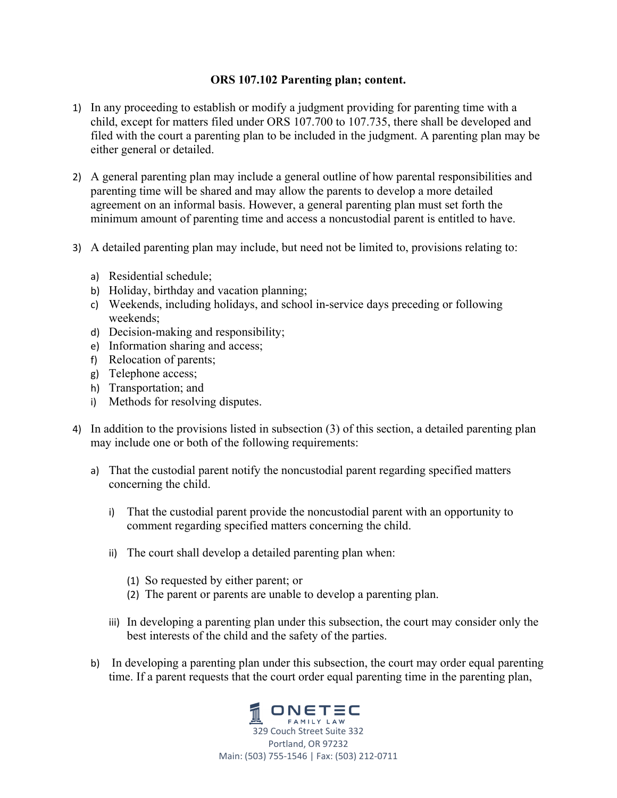## **ORS 107.102 Parenting plan; content.**

- 1) In any proceeding to establish or modify a judgment providing for parenting time with a child, except for matters filed under ORS 107.700 to 107.735, there shall be developed and filed with the court a parenting plan to be included in the judgment. A parenting plan may be either general or detailed.
- 2) A general parenting plan may include a general outline of how parental responsibilities and parenting time will be shared and may allow the parents to develop a more detailed agreement on an informal basis. However, a general parenting plan must set forth the minimum amount of parenting time and access a noncustodial parent is entitled to have.
- 3) A detailed parenting plan may include, but need not be limited to, provisions relating to:
	- a) Residential schedule;
	- b) Holiday, birthday and vacation planning;
	- c) Weekends, including holidays, and school in-service days preceding or following weekends;
	- d) Decision-making and responsibility;
	- e) Information sharing and access;
	- f) Relocation of parents;
	- g) Telephone access;
	- h) Transportation; and
	- i) Methods for resolving disputes.
- 4) In addition to the provisions listed in subsection (3) of this section, a detailed parenting plan may include one or both of the following requirements:
	- a) That the custodial parent notify the noncustodial parent regarding specified matters concerning the child.
		- i) That the custodial parent provide the noncustodial parent with an opportunity to comment regarding specified matters concerning the child.
		- ii) The court shall develop a detailed parenting plan when:
			- (1) So requested by either parent; or
			- (2) The parent or parents are unable to develop a parenting plan.
		- iii) In developing a parenting plan under this subsection, the court may consider only the best interests of the child and the safety of the parties.
	- b) In developing a parenting plan under this subsection, the court may order equal parenting time. If a parent requests that the court order equal parenting time in the parenting plan,